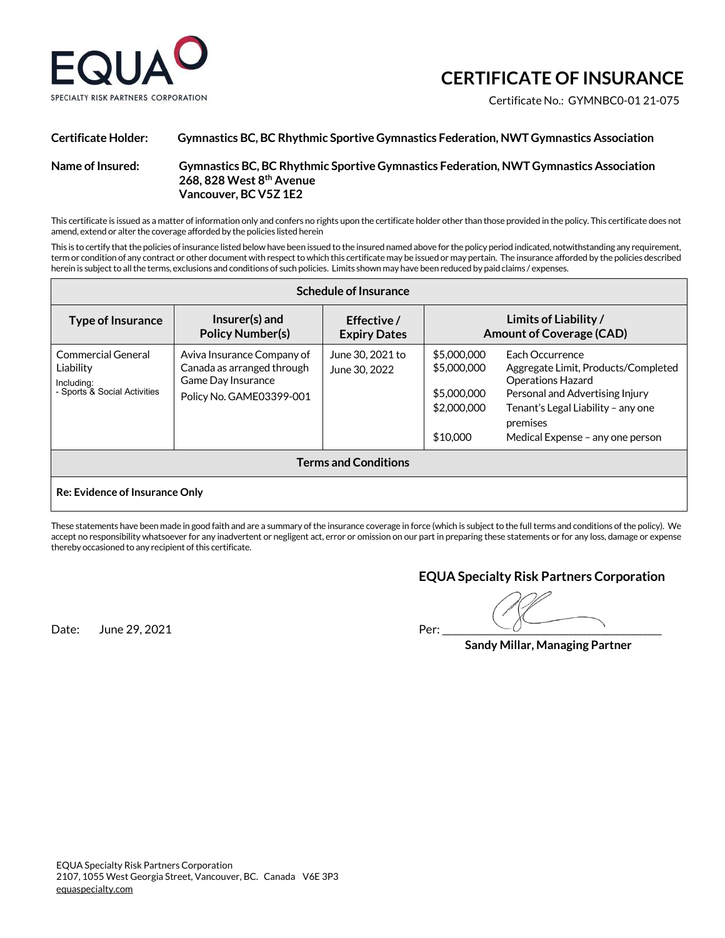

# **CERTIFICATE OF INSURANCE**

Certificate No.: GYMNBC0-01 21-075

## **Certificate Holder: Gymnastics BC, BC Rhythmic Sportive Gymnastics Federation, NWT Gymnastics Association Name of Insured: Gymnastics BC, BC Rhythmic Sportive Gymnastics Federation, NWT Gymnastics Association 268, 828 West 8th Avenue Vancouver, BC V5Z 1E2**

This certificate is issued as a matter of information only and confers no rights upon the certificate holder other than those provided in the policy. This certificate does not amend, extend or alter the coverage afforded by the policies listed herein

This is to certify that the policies of insurance listed below have been issued to the insured named above for the policy period indicated, notwithstanding any requirement, term or condition of any contract or other document with respect to which this certificate may be issued or may pertain. The insurance afforded by the policies described herein is subject to all the terms, exclusions and conditions of such policies. Limits shown may have been reduced by paid claims / expenses.

| <b>Schedule of Insurance</b>                                                  |                                                                                                            |                                    |                                                                      |                                                                                                                                                                                                             |  |
|-------------------------------------------------------------------------------|------------------------------------------------------------------------------------------------------------|------------------------------------|----------------------------------------------------------------------|-------------------------------------------------------------------------------------------------------------------------------------------------------------------------------------------------------------|--|
| <b>Type of Insurance</b>                                                      | Insurer(s) and<br><b>Policy Number(s)</b>                                                                  | Effective /<br><b>Expiry Dates</b> | Limits of Liability /<br><b>Amount of Coverage (CAD)</b>             |                                                                                                                                                                                                             |  |
| Commercial General<br>Liability<br>Including:<br>- Sports & Social Activities | Aviva Insurance Company of<br>Canada as arranged through<br>Game Day Insurance<br>Policy No. GAME03399-001 | June 30, 2021 to<br>June 30, 2022  | \$5,000,000<br>\$5,000,000<br>\$5,000,000<br>\$2,000,000<br>\$10,000 | Each Occurrence<br>Aggregate Limit, Products/Completed<br><b>Operations Hazard</b><br>Personal and Advertising Injury<br>Tenant's Legal Liability - any one<br>premises<br>Medical Expense - any one person |  |
| <b>Terms and Conditions</b>                                                   |                                                                                                            |                                    |                                                                      |                                                                                                                                                                                                             |  |
| <b>Re: Evidence of Insurance Only</b>                                         |                                                                                                            |                                    |                                                                      |                                                                                                                                                                                                             |  |

These statements have been made in good faith and are a summary of the insurance coverage in force (which is subject to the full terms and conditions of the policy). We accept no responsibility whatsoever for any inadvertent or negligent act, error or omission on our part in preparing these statements or for any loss, damage or expense thereby occasioned to any recipient of this certificate.

### **EQUA Specialty Risk Partners Corporation**

Date: June 29, 2021 Per: \_\_\_\_\_\_\_\_\_\_\_\_\_\_\_\_\_\_\_\_\_\_\_\_\_\_\_\_\_\_\_\_\_\_\_\_\_\_\_\_\_\_\_\_\_\_\_

 **Sandy Millar, Managing Partner**